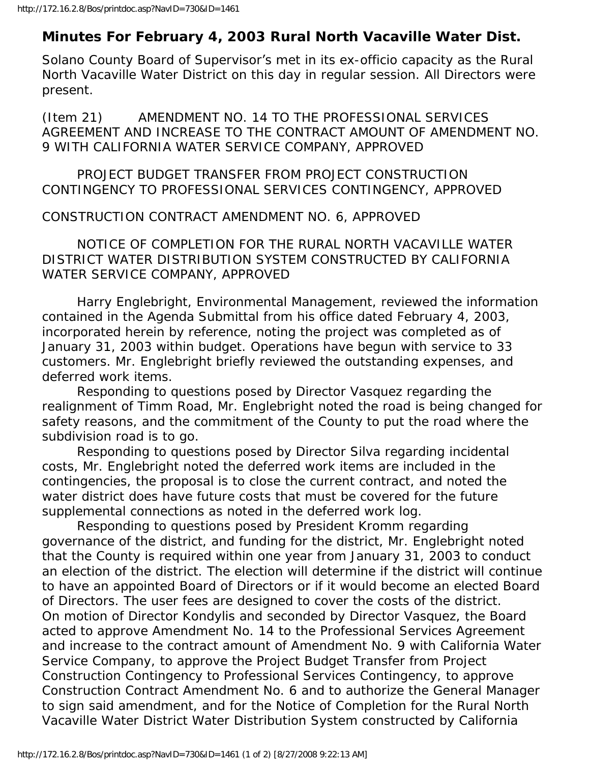## **Minutes For February 4, 2003 Rural North Vacaville Water Dist.**

Solano County Board of Supervisor's met in its ex-officio capacity as the Rural North Vacaville Water District on this day in regular session. All Directors were present.

(Item 21) AMENDMENT NO. 14 TO THE PROFESSIONAL SERVICES AGREEMENT AND INCREASE TO THE CONTRACT AMOUNT OF AMENDMENT NO. 9 WITH CALIFORNIA WATER SERVICE COMPANY, APPROVED

 PROJECT BUDGET TRANSFER FROM PROJECT CONSTRUCTION CONTINGENCY TO PROFESSIONAL SERVICES CONTINGENCY, APPROVED

CONSTRUCTION CONTRACT AMENDMENT NO. 6, APPROVED

 NOTICE OF COMPLETION FOR THE RURAL NORTH VACAVILLE WATER DISTRICT WATER DISTRIBUTION SYSTEM CONSTRUCTED BY CALIFORNIA WATER SERVICE COMPANY, APPROVED

 Harry Englebright, Environmental Management, reviewed the information contained in the Agenda Submittal from his office dated February 4, 2003, incorporated herein by reference, noting the project was completed as of January 31, 2003 within budget. Operations have begun with service to 33 customers. Mr. Englebright briefly reviewed the outstanding expenses, and deferred work items.

 Responding to questions posed by Director Vasquez regarding the realignment of Timm Road, Mr. Englebright noted the road is being changed for safety reasons, and the commitment of the County to put the road where the subdivision road is to go.

 Responding to questions posed by Director Silva regarding incidental costs, Mr. Englebright noted the deferred work items are included in the contingencies, the proposal is to close the current contract, and noted the water district does have future costs that must be covered for the future supplemental connections as noted in the deferred work log.

 Responding to questions posed by President Kromm regarding governance of the district, and funding for the district, Mr. Englebright noted that the County is required within one year from January 31, 2003 to conduct an election of the district. The election will determine if the district will continue to have an appointed Board of Directors or if it would become an elected Board of Directors. The user fees are designed to cover the costs of the district. On motion of Director Kondylis and seconded by Director Vasquez, the Board acted to approve Amendment No. 14 to the Professional Services Agreement and increase to the contract amount of Amendment No. 9 with California Water Service Company, to approve the Project Budget Transfer from Project Construction Contingency to Professional Services Contingency, to approve Construction Contract Amendment No. 6 and to authorize the General Manager to sign said amendment, and for the Notice of Completion for the Rural North Vacaville Water District Water Distribution System constructed by California